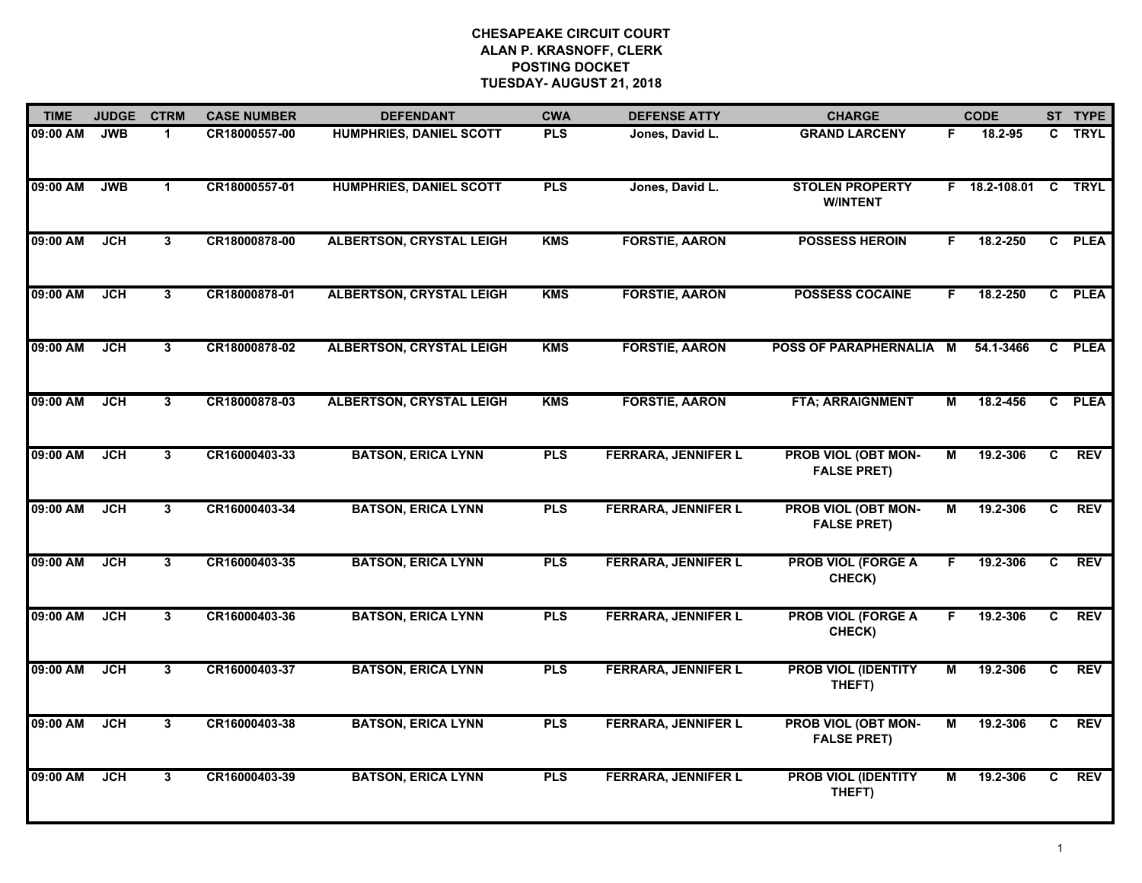| <b>TIME</b> | <b>JUDGE</b> | <b>CTRM</b>    | <b>CASE NUMBER</b> | <b>DEFENDANT</b>                | <b>CWA</b> | <b>DEFENSE ATTY</b>        | <b>CHARGE</b>                                    |                | <b>CODE</b>          |                | ST TYPE    |
|-------------|--------------|----------------|--------------------|---------------------------------|------------|----------------------------|--------------------------------------------------|----------------|----------------------|----------------|------------|
| 09:00 AM    | <b>JWB</b>   | 1              | CR18000557-00      | <b>HUMPHRIES, DANIEL SCOTT</b>  | <b>PLS</b> | Jones, David L.            | <b>GRAND LARCENY</b>                             | F.             | 18.2-95              |                | C TRYL     |
| 09:00 AM    | <b>JWB</b>   | $\mathbf{1}$   | CR18000557-01      | <b>HUMPHRIES, DANIEL SCOTT</b>  | <b>PLS</b> | Jones, David L.            | <b>STOLEN PROPERTY</b><br><b>W/INTENT</b>        |                | F 18.2-108.01 C TRYL |                |            |
| 09:00 AM    | JCH          | 3              | CR18000878-00      | <b>ALBERTSON, CRYSTAL LEIGH</b> | <b>KMS</b> | <b>FORSTIE, AARON</b>      | <b>POSSESS HEROIN</b>                            | F              | 18.2-250             |                | C PLEA     |
| 09:00 AM    | <b>JCH</b>   | 3              | CR18000878-01      | <b>ALBERTSON, CRYSTAL LEIGH</b> | <b>KMS</b> | <b>FORSTIE, AARON</b>      | <b>POSSESS COCAINE</b>                           | F.             | 18.2-250             |                | C PLEA     |
| 09:00 AM    | <b>JCH</b>   | $\mathbf{3}$   | CR18000878-02      | <b>ALBERTSON, CRYSTAL LEIGH</b> | <b>KMS</b> | <b>FORSTIE, AARON</b>      | <b>POSS OF PARAPHERNALIA</b>                     | M              | 54.1-3466            |                | C PLEA     |
| 09:00 AM    | <b>JCH</b>   | $\mathbf{3}$   | CR18000878-03      | <b>ALBERTSON, CRYSTAL LEIGH</b> | <b>KMS</b> | <b>FORSTIE, AARON</b>      | <b>FTA; ARRAIGNMENT</b>                          | М              | 18.2-456             |                | C PLEA     |
| 09:00 AM    | <b>JCH</b>   | $\overline{3}$ | CR16000403-33      | <b>BATSON, ERICA LYNN</b>       | <b>PLS</b> | <b>FERRARA, JENNIFER L</b> | <b>PROB VIOL (OBT MON-</b><br><b>FALSE PRET)</b> | $\overline{M}$ | 19.2-306             | $\overline{c}$ | <b>REV</b> |
| 09:00 AM    | <b>JCH</b>   | 3              | CR16000403-34      | <b>BATSON, ERICA LYNN</b>       | <b>PLS</b> | <b>FERRARA, JENNIFER L</b> | PROB VIOL (OBT MON-<br><b>FALSE PRET)</b>        | М              | 19.2-306             | C              | <b>REV</b> |
| 09:00 AM    | <b>JCH</b>   | 3              | CR16000403-35      | <b>BATSON, ERICA LYNN</b>       | <b>PLS</b> | <b>FERRARA, JENNIFER L</b> | <b>PROB VIOL (FORGE A</b><br>CHECK)              | F              | 19.2-306             | C              | <b>REV</b> |
| 09:00 AM    | <b>JCH</b>   | $\mathbf{3}$   | CR16000403-36      | <b>BATSON, ERICA LYNN</b>       | <b>PLS</b> | <b>FERRARA, JENNIFER L</b> | <b>PROB VIOL (FORGE A</b><br>CHECK)              | F              | 19.2-306             | C              | <b>REV</b> |
| 09:00 AM    | <b>JCH</b>   | $\mathbf{3}$   | CR16000403-37      | <b>BATSON, ERICA LYNN</b>       | <b>PLS</b> | <b>FERRARA, JENNIFER L</b> | <b>PROB VIOL (IDENTITY</b><br>THEFT)             | М              | 19.2-306             | C              | <b>REV</b> |
| 09:00 AM    | <b>JCH</b>   | $\overline{3}$ | CR16000403-38      | <b>BATSON, ERICA LYNN</b>       | <b>PLS</b> | <b>FERRARA, JENNIFER L</b> | <b>PROB VIOL (OBT MON-</b><br><b>FALSE PRET)</b> | М              | 19.2-306             | C.             | <b>REV</b> |
| 09:00 AM    | <b>JCH</b>   | 3              | CR16000403-39      | <b>BATSON, ERICA LYNN</b>       | <b>PLS</b> | <b>FERRARA, JENNIFER L</b> | <b>PROB VIOL (IDENTITY</b><br>THEFT)             | М              | 19.2-306             | C.             | REV        |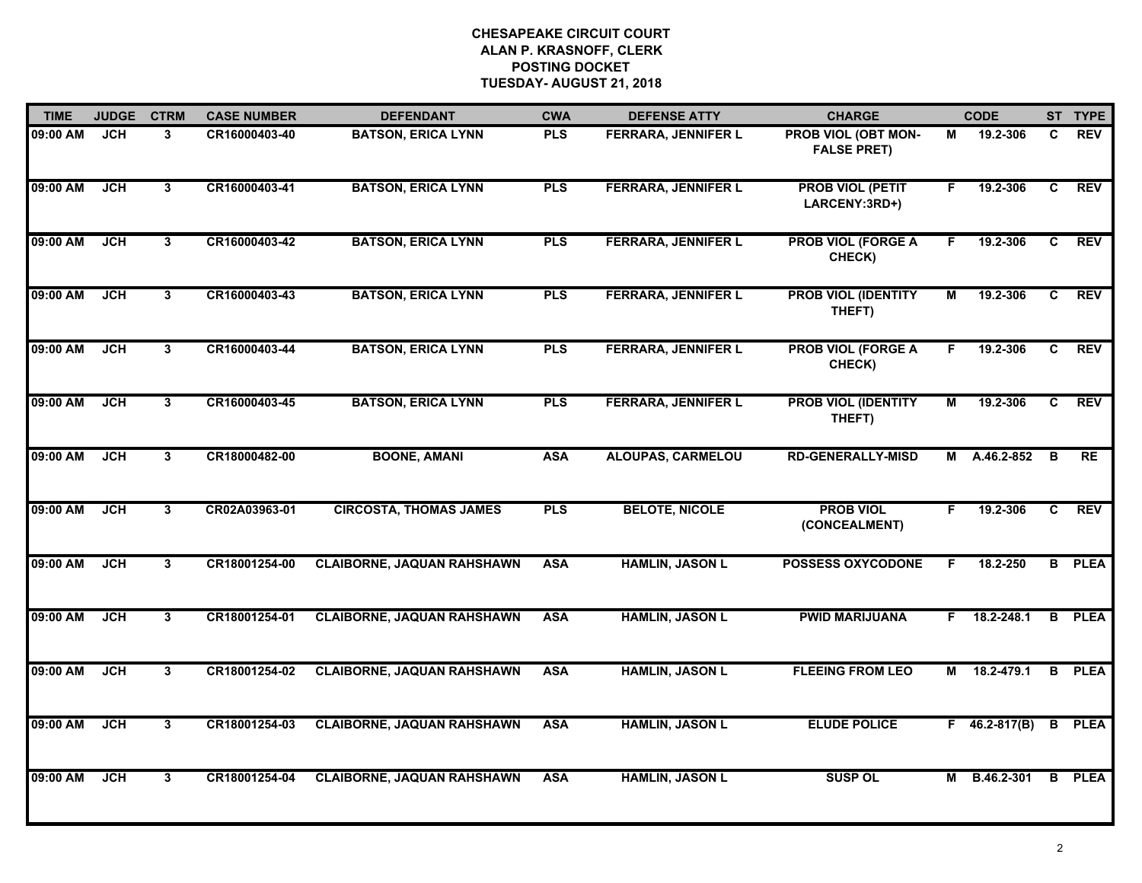| <b>TIME</b> | <b>JUDGE</b> | <b>CTRM</b>             | <b>CASE NUMBER</b> | <b>DEFENDANT</b>                  | <b>CWA</b> | <b>DEFENSE ATTY</b>        | <b>CHARGE</b>                             |    | <b>CODE</b>         |                | ST TYPE       |
|-------------|--------------|-------------------------|--------------------|-----------------------------------|------------|----------------------------|-------------------------------------------|----|---------------------|----------------|---------------|
| 09:00 AM    | <b>JCH</b>   | 3                       | CR16000403-40      | <b>BATSON, ERICA LYNN</b>         | <b>PLS</b> | FERRARA, JENNIFER L        | PROB VIOL (OBT MON-<br><b>FALSE PRET)</b> | М  | 19.2-306            | C.             | <b>REV</b>    |
| 09:00 AM    | <b>JCH</b>   | 3                       | CR16000403-41      | <b>BATSON, ERICA LYNN</b>         | <b>PLS</b> | <b>FERRARA, JENNIFER L</b> | <b>PROB VIOL (PETIT</b><br>LARCENY:3RD+)  | F  | 19.2-306            | C              | <b>REV</b>    |
| 09:00 AM    | <b>JCH</b>   | $\mathbf{3}$            | CR16000403-42      | <b>BATSON, ERICA LYNN</b>         | <b>PLS</b> | <b>FERRARA, JENNIFER L</b> | <b>PROB VIOL (FORGE A</b><br>CHECK)       | F. | 19.2-306            | C              | <b>REV</b>    |
| 09:00 AM    | <b>JCH</b>   | $\mathbf{3}$            | CR16000403-43      | <b>BATSON, ERICA LYNN</b>         | <b>PLS</b> | <b>FERRARA, JENNIFER L</b> | <b>PROB VIOL (IDENTITY</b><br>THEFT)      | М  | 19.2-306            | C.             | <b>REV</b>    |
| 09:00 AM    | <b>JCH</b>   | 3                       | CR16000403-44      | <b>BATSON, ERICA LYNN</b>         | <b>PLS</b> | <b>FERRARA, JENNIFER L</b> | <b>PROB VIOL (FORGE A</b><br>CHECK)       | F. | 19.2-306            | C.             | <b>REV</b>    |
| 09:00 AM    | <b>JCH</b>   | 3                       | CR16000403-45      | <b>BATSON, ERICA LYNN</b>         | <b>PLS</b> | <b>FERRARA, JENNIFER L</b> | <b>PROB VIOL (IDENTITY</b><br>THEFT)      | М  | 19.2-306            | $\overline{c}$ | <b>REV</b>    |
| 09:00 AM    | <b>JCH</b>   | $\overline{\mathbf{3}}$ | CR18000482-00      | <b>BOONE, AMANI</b>               | <b>ASA</b> | <b>ALOUPAS, CARMELOU</b>   | <b>RD-GENERALLY-MISD</b>                  | М  | A.46.2-852          | B              | RE            |
| 09:00 AM    | JCH          | 3                       | CR02A03963-01      | <b>CIRCOSTA, THOMAS JAMES</b>     | <b>PLS</b> | <b>BELOTE, NICOLE</b>      | <b>PROB VIOL</b><br>(CONCEALMENT)         | F. | 19.2-306            | C              | REV           |
| 09:00 AM    | <b>JCH</b>   | 3                       | CR18001254-00      | <b>CLAIBORNE, JAQUAN RAHSHAWN</b> | <b>ASA</b> | <b>HAMLIN, JASON L</b>     | <b>POSSESS OXYCODONE</b>                  | F  | 18.2-250            |                | <b>B</b> PLEA |
| 09:00 AM    | <b>JCH</b>   | $\mathbf{3}$            | CR18001254-01      | <b>CLAIBORNE, JAQUAN RAHSHAWN</b> | <b>ASA</b> | <b>HAMLIN, JASON L</b>     | <b>PWID MARIJUANA</b>                     | F. | 18.2-248.1          |                | <b>B</b> PLEA |
| 09:00 AM    | JCH          | 3                       | CR18001254-02      | <b>CLAIBORNE, JAQUAN RAHSHAWN</b> | <b>ASA</b> | <b>HAMLIN, JASON L</b>     | <b>FLEEING FROM LEO</b>                   | М  | 18.2-479.1          |                | <b>B</b> PLEA |
| 09:00 AM    | <b>JCH</b>   | 3                       | CR18001254-03      | <b>CLAIBORNE, JAQUAN RAHSHAWN</b> | <b>ASA</b> | <b>HAMLIN, JASON L</b>     | <b>ELUDE POLICE</b>                       |    | $F = 46.2 - 817(B)$ |                | <b>B</b> PLEA |
| 09:00 AM    | <b>JCH</b>   | 3                       | CR18001254-04      | <b>CLAIBORNE, JAQUAN RAHSHAWN</b> | <b>ASA</b> | <b>HAMLIN, JASON L</b>     | <b>SUSP OL</b>                            |    | M B.46.2-301        |                | <b>B</b> PLEA |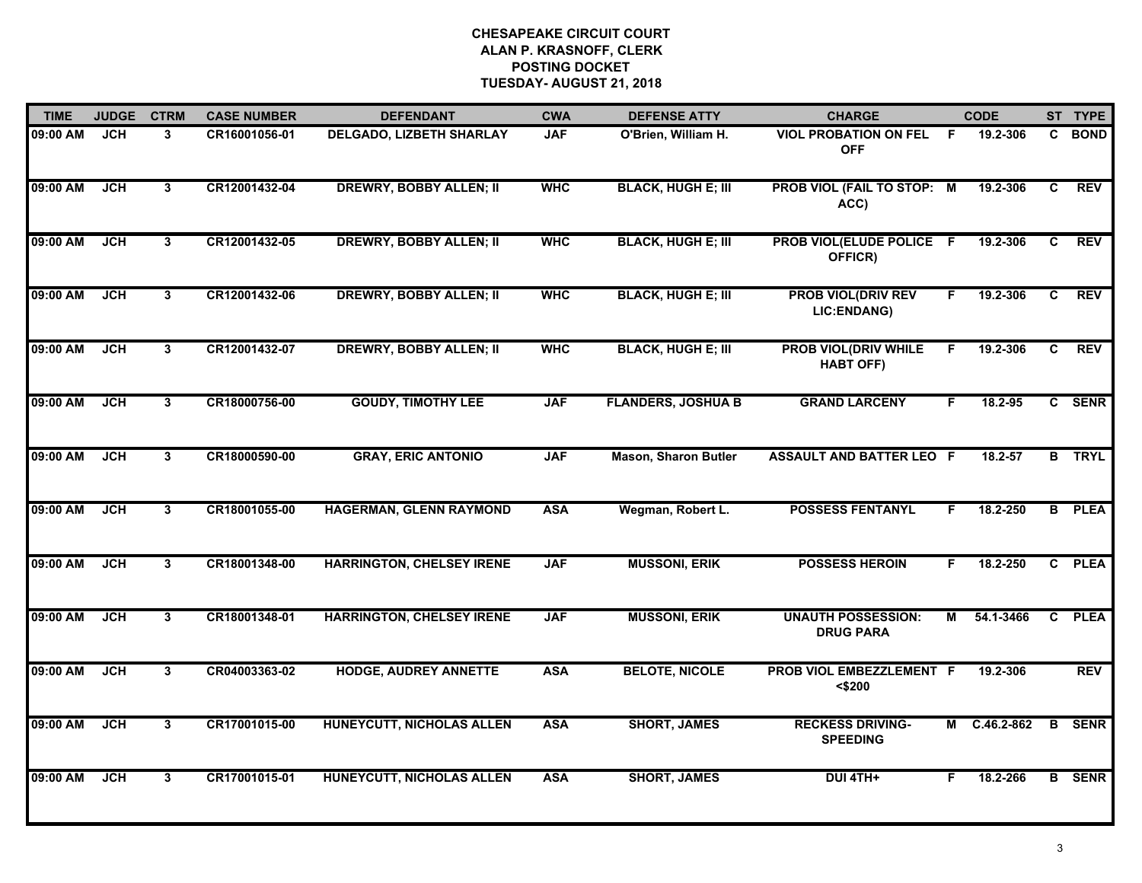| <b>TIME</b> | <b>JUDGE</b> | <b>CTRM</b>    | <b>CASE NUMBER</b> | <b>DEFENDANT</b>                 | <b>CWA</b> | <b>DEFENSE ATTY</b>         | <b>CHARGE</b>                                   |     | <b>CODE</b>  |              | ST TYPE       |
|-------------|--------------|----------------|--------------------|----------------------------------|------------|-----------------------------|-------------------------------------------------|-----|--------------|--------------|---------------|
| 09:00 AM    | JCH          | 3              | CR16001056-01      | <b>DELGADO, LIZBETH SHARLAY</b>  | <b>JAF</b> | O'Brien, William H.         | <b>VIOL PROBATION ON FEL</b><br><b>OFF</b>      | - F | 19.2-306     | C            | <b>BOND</b>   |
| 09:00 AM    | <b>JCH</b>   | $\mathbf{3}$   | CR12001432-04      | <b>DREWRY, BOBBY ALLEN; II</b>   | <b>WHC</b> | <b>BLACK, HUGH E; III</b>   | PROB VIOL (FAIL TO STOP: M<br>ACC)              |     | 19.2-306     | C            | <b>REV</b>    |
| 09:00 AM    | <b>JCH</b>   | 3              | CR12001432-05      | <b>DREWRY, BOBBY ALLEN; II</b>   | <b>WHC</b> | <b>BLACK, HUGH E; III</b>   | PROB VIOL(ELUDE POLICE F<br>OFFICR)             |     | 19.2-306     | C            | <b>REV</b>    |
| 09:00 AM    | <b>JCH</b>   | 3              | CR12001432-06      | <b>DREWRY, BOBBY ALLEN; II</b>   | <b>WHC</b> | <b>BLACK, HUGH E; III</b>   | <b>PROB VIOL(DRIV REV</b><br>LIC:ENDANG)        | F.  | 19.2-306     | C            | <b>REV</b>    |
| 09:00 AM    | <b>JCH</b>   | 3              | CR12001432-07      | <b>DREWRY, BOBBY ALLEN; II</b>   | <b>WHC</b> | <b>BLACK, HUGH E; III</b>   | <b>PROB VIOL(DRIV WHILE</b><br><b>HABT OFF)</b> | F   | 19.2-306     | C            | <b>REV</b>    |
| 09:00 AM    | JCH          | $\mathbf{3}$   | CR18000756-00      | <b>GOUDY, TIMOTHY LEE</b>        | <b>JAF</b> | <b>FLANDERS, JOSHUA B</b>   | <b>GRAND LARCENY</b>                            | F   | 18.2-95      |              | C SENR        |
| 09:00 AM    | JCH          | 3              | CR18000590-00      | <b>GRAY, ERIC ANTONIO</b>        | <b>JAF</b> | <b>Mason, Sharon Butler</b> | <b>ASSAULT AND BATTER LEO F</b>                 |     | 18.2-57      |              | <b>B</b> TRYL |
| 09:00 AM    | <b>JCH</b>   | $\overline{3}$ | CR18001055-00      | <b>HAGERMAN, GLENN RAYMOND</b>   | <b>ASA</b> | Wegman, Robert L.           | <b>POSSESS FENTANYL</b>                         | F.  | 18.2-250     |              | <b>B</b> PLEA |
| 09:00 AM    | <b>JCH</b>   | 3              | CR18001348-00      | <b>HARRINGTON, CHELSEY IRENE</b> | <b>JAF</b> | <b>MUSSONI, ERIK</b>        | <b>POSSESS HEROIN</b>                           | F   | 18.2-250     | $\mathbf{c}$ | <b>PLEA</b>   |
| 09:00 AM    | <b>JCH</b>   | 3              | CR18001348-01      | <b>HARRINGTON, CHELSEY IRENE</b> | <b>JAF</b> | <b>MUSSONI, ERIK</b>        | <b>UNAUTH POSSESSION:</b><br><b>DRUG PARA</b>   | Μ   | 54.1-3466    | C            | <b>PLEA</b>   |
| 09:00 AM    | <b>JCH</b>   | $\mathbf{3}$   | CR04003363-02      | <b>HODGE, AUDREY ANNETTE</b>     | <b>ASA</b> | <b>BELOTE, NICOLE</b>       | PROB VIOL EMBEZZLEMENT F<br>$<$ \$200           |     | 19.2-306     |              | <b>REV</b>    |
| 09:00 AM    | <b>JCH</b>   | $\mathbf{3}$   | CR17001015-00      | HUNEYCUTT, NICHOLAS ALLEN        | <b>ASA</b> | <b>SHORT, JAMES</b>         | <b>RECKESS DRIVING-</b><br><b>SPEEDING</b>      |     | M C.46.2-862 | $\mathbf{B}$ | <b>SENR</b>   |
| 09:00 AM    | <b>JCH</b>   | 3              | CR17001015-01      | <b>HUNEYCUTT, NICHOLAS ALLEN</b> | <b>ASA</b> | <b>SHORT, JAMES</b>         | DUI 4TH+                                        | F   | 18.2-266     |              | <b>B</b> SENR |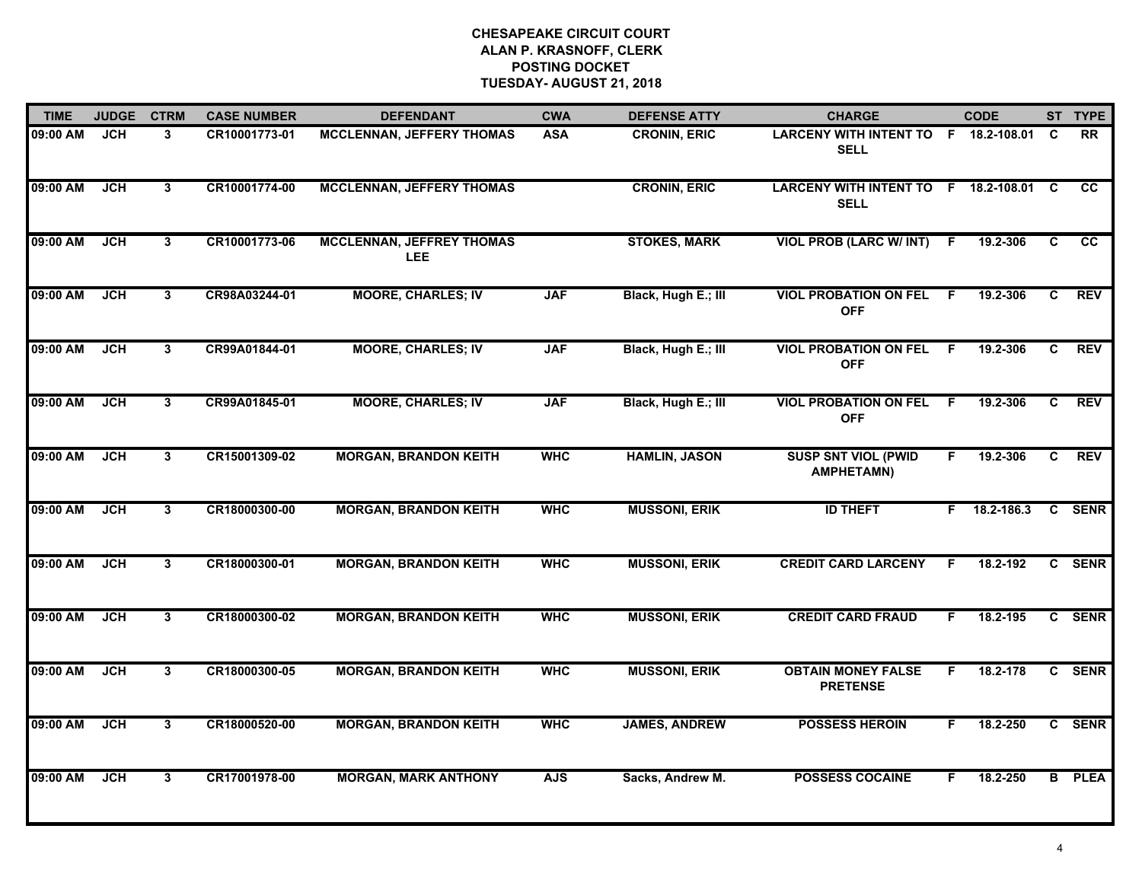| <b>TIME</b> | <b>JUDGE</b> | <b>CTRM</b>    | <b>CASE NUMBER</b> | <b>DEFENDANT</b>                               | <b>CWA</b> | <b>DEFENSE ATTY</b>  | <b>CHARGE</b>                                       |    | <b>CODE</b> |          | ST TYPE         |
|-------------|--------------|----------------|--------------------|------------------------------------------------|------------|----------------------|-----------------------------------------------------|----|-------------|----------|-----------------|
| 09:00 AM    | <b>JCH</b>   | 3              | CR10001773-01      | <b>MCCLENNAN, JEFFERY THOMAS</b>               | <b>ASA</b> | <b>CRONIN, ERIC</b>  | LARCENY WITH INTENT TO F 18.2-108.01<br><b>SELL</b> |    |             | <b>C</b> | <b>RR</b>       |
| 09:00 AM    | <b>JCH</b>   | $\mathbf{3}$   | CR10001774-00      | <b>MCCLENNAN, JEFFERY THOMAS</b>               |            | <b>CRONIN, ERIC</b>  | LARCENY WITH INTENT TO F 18.2-108.01<br><b>SELL</b> |    |             | C        | <b>CC</b>       |
| 09:00 AM    | <b>JCH</b>   | $\overline{3}$ | CR10001773-06      | <b>MCCLENNAN, JEFFREY THOMAS</b><br><b>LEE</b> |            | <b>STOKES, MARK</b>  | <b>VIOL PROB (LARC W/ INT)</b>                      | -F | 19.2-306    | C        | $\overline{cc}$ |
| 09:00 AM    | <b>JCH</b>   | $\mathbf{3}$   | CR98A03244-01      | <b>MOORE, CHARLES; IV</b>                      | <b>JAF</b> | Black, Hugh E.; III  | <b>VIOL PROBATION ON FEL</b><br><b>OFF</b>          | F  | 19.2-306    | C.       | <b>REV</b>      |
| 09:00 AM    | <b>JCH</b>   | 3              | CR99A01844-01      | <b>MOORE, CHARLES; IV</b>                      | <b>JAF</b> | Black, Hugh E.; III  | <b>VIOL PROBATION ON FEL</b><br><b>OFF</b>          | -F | 19.2-306    | C        | <b>REV</b>      |
| 09:00 AM    | <b>JCH</b>   | $\mathbf{3}$   | CR99A01845-01      | <b>MOORE, CHARLES; IV</b>                      | <b>JAF</b> | Black, Hugh E.; III  | <b>VIOL PROBATION ON FEL</b><br><b>OFF</b>          | -F | 19.2-306    | C.       | <b>REV</b>      |
| 09:00 AM    | <b>JCH</b>   | $\overline{3}$ | CR15001309-02      | <b>MORGAN, BRANDON KEITH</b>                   | <b>WHC</b> | <b>HAMLIN, JASON</b> | <b>SUSP SNT VIOL (PWID</b><br><b>AMPHETAMN)</b>     | F. | 19.2-306    | C        | <b>REV</b>      |
| 09:00 AM    | <b>JCH</b>   | $\overline{3}$ | CR18000300-00      | <b>MORGAN, BRANDON KEITH</b>                   | <b>WHC</b> | <b>MUSSONI, ERIK</b> | <b>ID THEFT</b>                                     | F. | 18.2-186.3  |          | C SENR          |
| 09:00 AM    | <b>JCH</b>   | $\mathbf{3}$   | CR18000300-01      | <b>MORGAN, BRANDON KEITH</b>                   | <b>WHC</b> | <b>MUSSONI, ERIK</b> | <b>CREDIT CARD LARCENY</b>                          | F. | 18.2-192    | C.       | <b>SENR</b>     |
| 09:00 AM    | <b>JCH</b>   | 3              | CR18000300-02      | <b>MORGAN, BRANDON KEITH</b>                   | <b>WHC</b> | <b>MUSSONI, ERIK</b> | <b>CREDIT CARD FRAUD</b>                            | F. | 18.2-195    |          | C SENR          |
| 09:00 AM    | <b>JCH</b>   | 3              | CR18000300-05      | <b>MORGAN, BRANDON KEITH</b>                   | <b>WHC</b> | <b>MUSSONI, ERIK</b> | <b>OBTAIN MONEY FALSE</b><br><b>PRETENSE</b>        | F. | 18.2-178    |          | C SENR          |
| 09:00 AM    | <b>JCH</b>   | 3              | CR18000520-00      | <b>MORGAN, BRANDON KEITH</b>                   | <b>WHC</b> | <b>JAMES, ANDREW</b> | <b>POSSESS HEROIN</b>                               | F. | 18.2-250    |          | C SENR          |
| 09:00 AM    | <b>JCH</b>   | $\overline{3}$ | CR17001978-00      | <b>MORGAN, MARK ANTHONY</b>                    | <b>AJS</b> | Sacks, Andrew M.     | <b>POSSESS COCAINE</b>                              | F. | 18.2-250    |          | <b>B</b> PLEA   |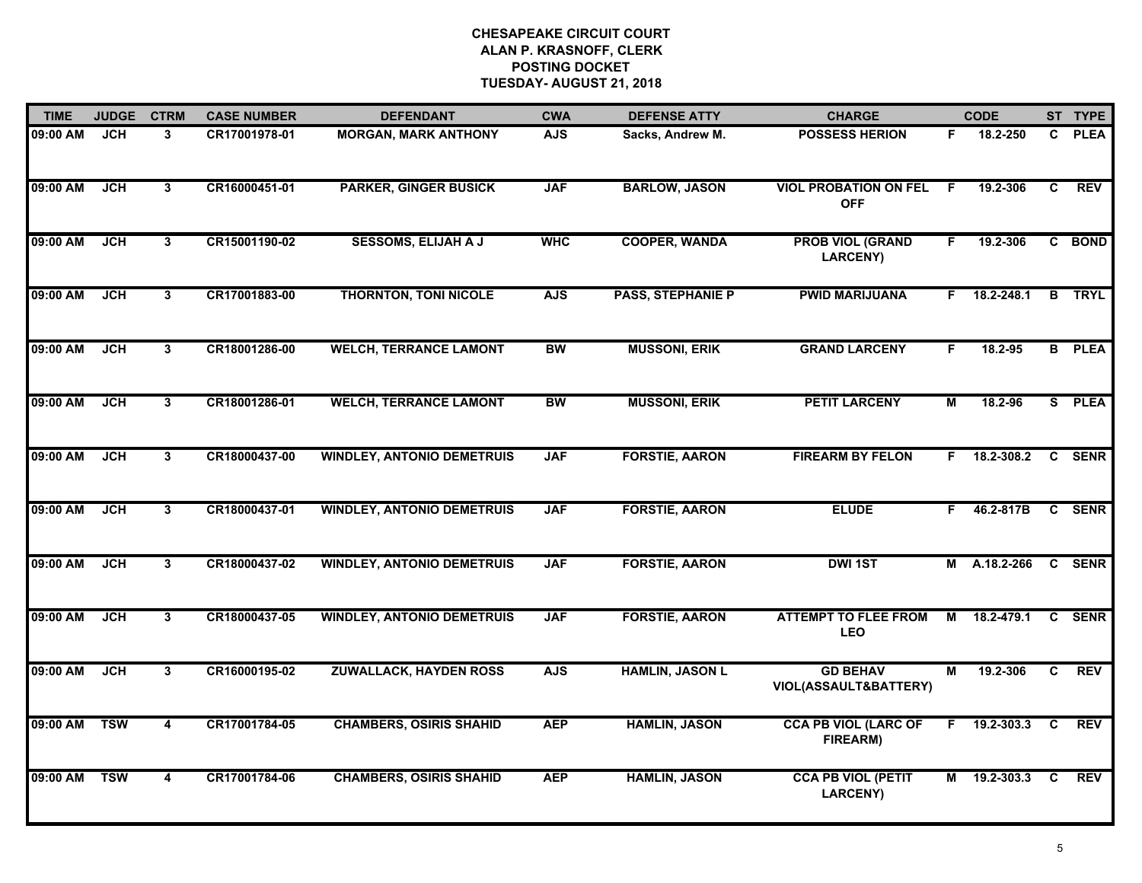| <b>TIME</b> | <b>JUDGE</b> | <b>CTRM</b>             | <b>CASE NUMBER</b> | <b>DEFENDANT</b>                  | <b>CWA</b> | <b>DEFENSE ATTY</b>      | <b>CHARGE</b>                                |    | <b>CODE</b>       |                | ST TYPE       |
|-------------|--------------|-------------------------|--------------------|-----------------------------------|------------|--------------------------|----------------------------------------------|----|-------------------|----------------|---------------|
| 09:00 AM    | JCH          | 3                       | CR17001978-01      | <b>MORGAN, MARK ANTHONY</b>       | <b>AJS</b> | Sacks, Andrew M.         | <b>POSSESS HERION</b>                        | F. | 18.2-250          | $\mathbf{c}$   | <b>PLEA</b>   |
| 09:00 AM    | <b>JCH</b>   | $\overline{3}$          | CR16000451-01      | <b>PARKER, GINGER BUSICK</b>      | <b>JAF</b> | <b>BARLOW, JASON</b>     | <b>VIOL PROBATION ON FEL</b><br><b>OFF</b>   | E  | 19.2-306          | C              | <b>REV</b>    |
| 09:00 AM    | <b>JCH</b>   | $\mathbf{3}$            | CR15001190-02      | <b>SESSOMS, ELIJAH A J</b>        | <b>WHC</b> | <b>COOPER, WANDA</b>     | <b>PROB VIOL (GRAND</b><br><b>LARCENY)</b>   | F. | 19.2-306          |                | C BOND        |
| 09:00 AM    | JCH          | 3                       | CR17001883-00      | <b>THORNTON, TONI NICOLE</b>      | <b>AJS</b> | <b>PASS, STEPHANIE P</b> | <b>PWID MARIJUANA</b>                        |    | F 18.2-248.1      |                | <b>B</b> TRYL |
| 09:00 AM    | <b>JCH</b>   | 3                       | CR18001286-00      | <b>WELCH, TERRANCE LAMONT</b>     | <b>BW</b>  | <b>MUSSONI, ERIK</b>     | <b>GRAND LARCENY</b>                         | F. | 18.2-95           |                | <b>B</b> PLEA |
| 09:00 AM    | <b>JCH</b>   | 3                       | CR18001286-01      | <b>WELCH, TERRANCE LAMONT</b>     | <b>BW</b>  | <b>MUSSONI, ERIK</b>     | <b>PETIT LARCENY</b>                         | М  | 18.2-96           |                | S PLEA        |
| 09:00 AM    | <b>JCH</b>   | $3\phantom{a}$          | CR18000437-00      | <b>WINDLEY, ANTONIO DEMETRUIS</b> | <b>JAF</b> | <b>FORSTIE, AARON</b>    | <b>FIREARM BY FELON</b>                      | F. | 18.2-308.2 C SENR |                |               |
| 09:00 AM    | <b>JCH</b>   | $\mathbf{3}$            | CR18000437-01      | <b>WINDLEY, ANTONIO DEMETRUIS</b> | <b>JAF</b> | <b>FORSTIE, AARON</b>    | <b>ELUDE</b>                                 | F. | 46.2-817B         |                | C SENR        |
| 09:00 AM    | <b>JCH</b>   | 3                       | CR18000437-02      | <b>WINDLEY, ANTONIO DEMETRUIS</b> | <b>JAF</b> | <b>FORSTIE, AARON</b>    | <b>DWI 1ST</b>                               | М  | A.18.2-266        |                | C SENR        |
| 09:00 AM    | <b>JCH</b>   | 3                       | CR18000437-05      | <b>WINDLEY, ANTONIO DEMETRUIS</b> | <b>JAF</b> | <b>FORSTIE, AARON</b>    | <b>ATTEMPT TO FLEE FROM</b><br><b>LEO</b>    | М  | 18.2-479.1        |                | C SENR        |
| 09:00 AM    | <b>JCH</b>   | 3                       | CR16000195-02      | <b>ZUWALLACK, HAYDEN ROSS</b>     | <b>AJS</b> | <b>HAMLIN, JASON L</b>   | <b>GD BEHAV</b><br>VIOL(ASSAULT&BATTERY)     | М  | 19.2-306          | $\overline{c}$ | <b>REV</b>    |
| 09:00 AM    | <b>TSW</b>   | $\overline{4}$          | CR17001784-05      | <b>CHAMBERS, OSIRIS SHAHID</b>    | <b>AEP</b> | <b>HAMLIN, JASON</b>     | <b>CCA PB VIOL (LARC OF</b><br>FIREARM)      | F. | 19.2-303.3        | C              | <b>REV</b>    |
| 09:00 AM    | <b>TSW</b>   | $\overline{\mathbf{4}}$ | CR17001784-06      | <b>CHAMBERS, OSIRIS SHAHID</b>    | <b>AEP</b> | <b>HAMLIN, JASON</b>     | <b>CCA PB VIOL (PETIT</b><br><b>LARCENY)</b> |    | M 19.2-303.3      | C              | <b>REV</b>    |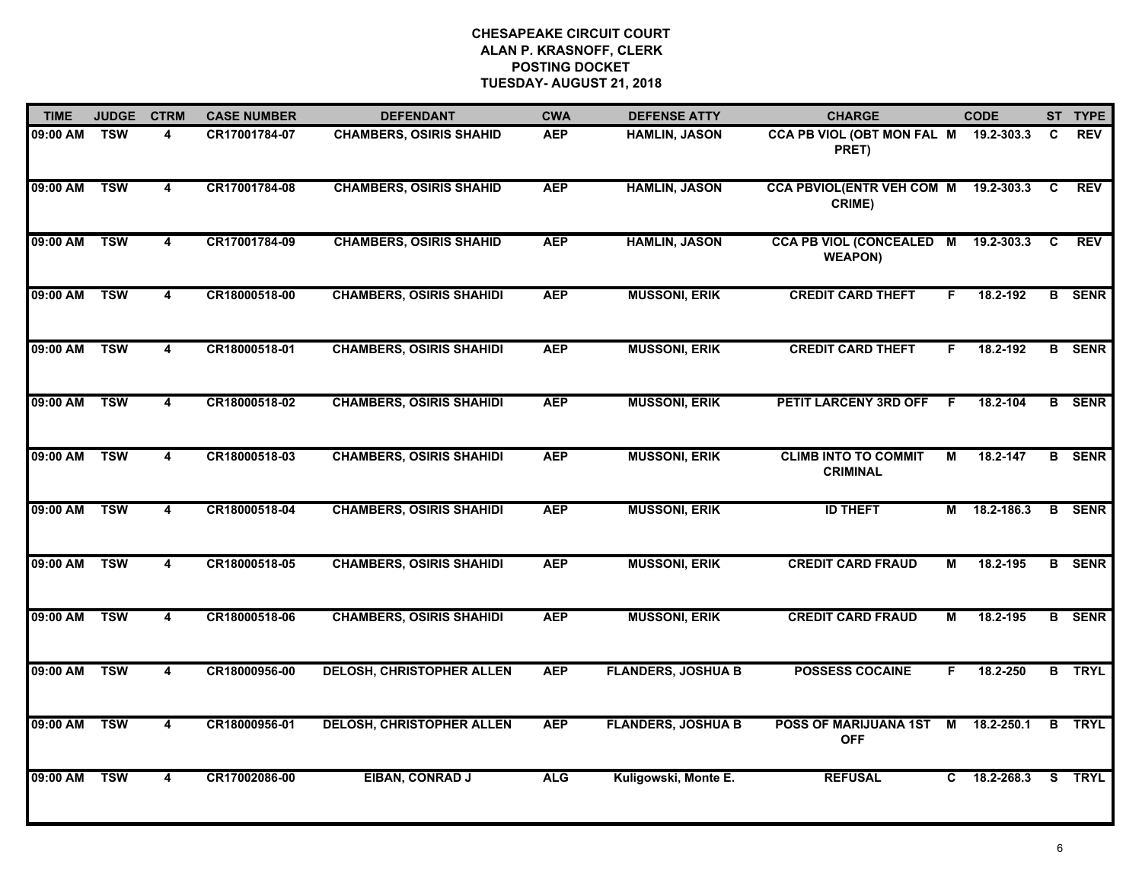| <b>TIME</b>  | <b>JUDGE</b> | <b>CTRM</b>             | <b>CASE NUMBER</b> | <b>DEFENDANT</b>                 | <b>CWA</b> | <b>DEFENSE ATTY</b>       | <b>CHARGE</b>                                         |     | <b>CODE</b> |   | ST TYPE       |
|--------------|--------------|-------------------------|--------------------|----------------------------------|------------|---------------------------|-------------------------------------------------------|-----|-------------|---|---------------|
| 09:00 AM     | <b>TSW</b>   | 4                       | CR17001784-07      | <b>CHAMBERS, OSIRIS SHAHID</b>   | <b>AEP</b> | <b>HAMLIN, JASON</b>      | CCA PB VIOL (OBT MON FAL M 19.2-303.3<br>PRET)        |     |             | C | <b>REV</b>    |
| 09:00 AM     | <b>TSW</b>   | 4                       | CR17001784-08      | <b>CHAMBERS, OSIRIS SHAHID</b>   | <b>AEP</b> | <b>HAMLIN, JASON</b>      | CCA PBVIOL(ENTR VEH COM M 19.2-303.3<br>CRIME)        |     |             | C | <b>REV</b>    |
| 09:00 AM     | <b>TSW</b>   | $\overline{\mathbf{4}}$ | CR17001784-09      | <b>CHAMBERS, OSIRIS SHAHID</b>   | <b>AEP</b> | <b>HAMLIN, JASON</b>      | CCA PB VIOL (CONCEALED M 19.2-303.3<br><b>WEAPON)</b> |     |             | C | <b>REV</b>    |
| 09:00 AM     | <b>TSW</b>   | 4                       | CR18000518-00      | <b>CHAMBERS, OSIRIS SHAHIDI</b>  | <b>AEP</b> | <b>MUSSONI, ERIK</b>      | <b>CREDIT CARD THEFT</b>                              | F.  | 18.2-192    |   | <b>B</b> SENR |
| 09:00 AM     | <b>TSW</b>   | 4                       | CR18000518-01      | <b>CHAMBERS, OSIRIS SHAHIDI</b>  | <b>AEP</b> | <b>MUSSONI, ERIK</b>      | <b>CREDIT CARD THEFT</b>                              | F.  | 18.2-192    |   | <b>B</b> SENR |
| 09:00 AM TSW |              | 4                       | CR18000518-02      | <b>CHAMBERS, OSIRIS SHAHIDI</b>  | <b>AEP</b> | <b>MUSSONI, ERIK</b>      | PETIT LARCENY 3RD OFF                                 | - F | 18.2-104    |   | <b>B</b> SENR |
| 09:00 AM     | <b>TSW</b>   | $\overline{4}$          | CR18000518-03      | <b>CHAMBERS, OSIRIS SHAHIDI</b>  | <b>AEP</b> | <b>MUSSONI, ERIK</b>      | <b>CLIMB INTO TO COMMIT</b><br><b>CRIMINAL</b>        | M   | 18.2-147    |   | <b>B</b> SENR |
| 09:00 AM     | <b>TSW</b>   | 4                       | CR18000518-04      | <b>CHAMBERS, OSIRIS SHAHIDI</b>  | <b>AEP</b> | <b>MUSSONI, ERIK</b>      | <b>ID THEFT</b>                                       | М   | 18.2-186.3  |   | <b>B</b> SENR |
| 09:00 AM     | <b>TSW</b>   | 4                       | CR18000518-05      | <b>CHAMBERS, OSIRIS SHAHIDI</b>  | <b>AEP</b> | <b>MUSSONI, ERIK</b>      | <b>CREDIT CARD FRAUD</b>                              | м   | 18.2-195    |   | <b>B</b> SENR |
| 09:00 AM     | <b>TSW</b>   | 4                       | CR18000518-06      | <b>CHAMBERS, OSIRIS SHAHIDI</b>  | <b>AEP</b> | <b>MUSSONI, ERIK</b>      | <b>CREDIT CARD FRAUD</b>                              | М   | 18.2-195    |   | <b>B</b> SENR |
| 09:00 AM     | <b>TSW</b>   | 4                       | CR18000956-00      | <b>DELOSH, CHRISTOPHER ALLEN</b> | <b>AEP</b> | <b>FLANDERS, JOSHUA B</b> | <b>POSSESS COCAINE</b>                                | F.  | 18.2-250    |   | <b>B</b> TRYL |
| 09:00 AM     | <b>TSW</b>   | 4                       | CR18000956-01      | <b>DELOSH, CHRISTOPHER ALLEN</b> | <b>AEP</b> | <b>FLANDERS, JOSHUA B</b> | POSS OF MARIJUANA 1ST<br><b>OFF</b>                   | М   | 18.2-250.1  | B | <b>TRYL</b>   |
| 09:00 AM     | <b>TSW</b>   | 4                       | CR17002086-00      | EIBAN, CONRAD J                  | <b>ALG</b> | Kuligowski, Monte E.      | <b>REFUSAL</b>                                        | C   | 18.2-268.3  |   | S TRYL        |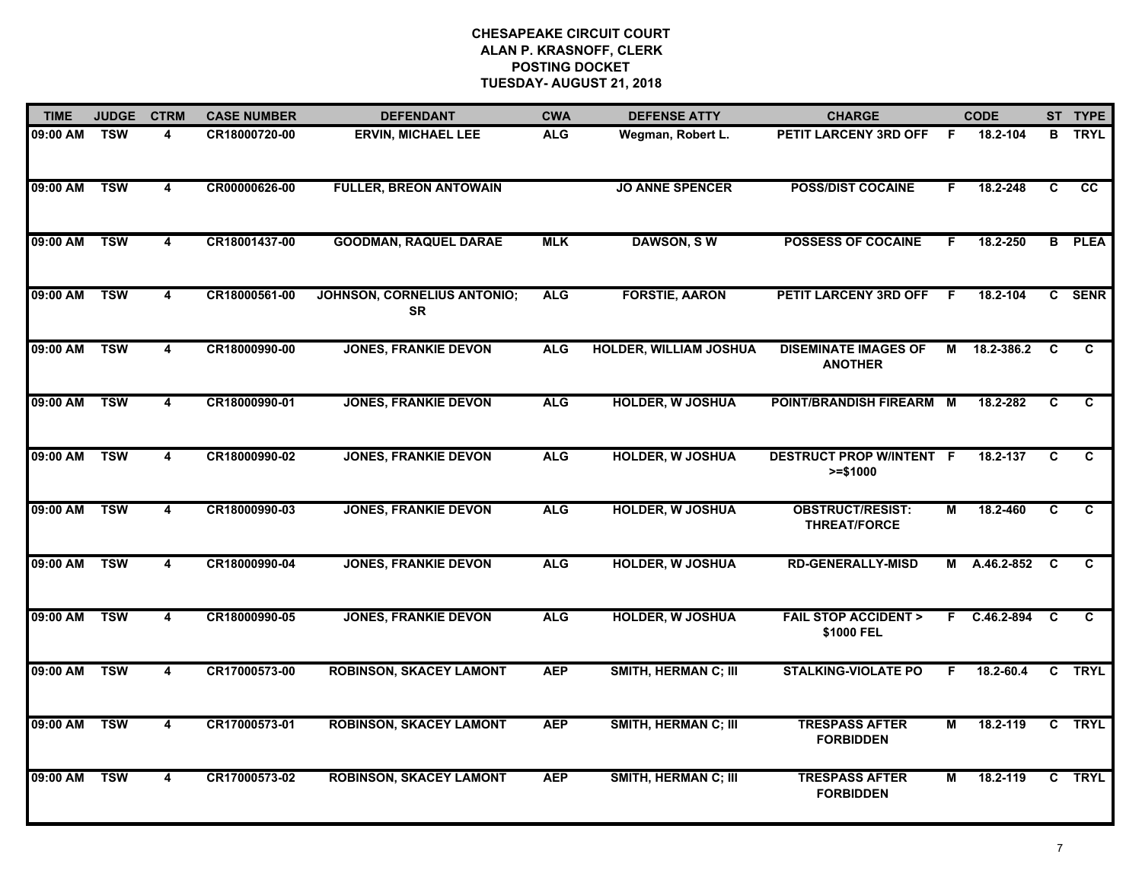| <b>TIME</b> | <b>JUDGE</b> | <b>CTRM</b>             | <b>CASE NUMBER</b> | <b>DEFENDANT</b>                                | <b>CWA</b> | <b>DEFENSE ATTY</b>           | <b>CHARGE</b>                                  |    | <b>CODE</b>   |              | ST TYPE       |
|-------------|--------------|-------------------------|--------------------|-------------------------------------------------|------------|-------------------------------|------------------------------------------------|----|---------------|--------------|---------------|
| 09:00 AM    | <b>TSW</b>   | 4                       | CR18000720-00      | <b>ERVIN, MICHAEL LEE</b>                       | <b>ALG</b> | Wegman, Robert L.             | PETIT LARCENY 3RD OFF                          | F. | 18.2-104      |              | <b>B</b> TRYL |
| 09:00 AM    | <b>TSW</b>   | $\overline{\mathbf{4}}$ | CR00000626-00      | <b>FULLER, BREON ANTOWAIN</b>                   |            | <b>JO ANNE SPENCER</b>        | <b>POSS/DIST COCAINE</b>                       | F. | 18.2-248      | C            | <b>CC</b>     |
| 09:00 AM    | <b>TSW</b>   | $\overline{\mathbf{4}}$ | CR18001437-00      | <b>GOODMAN, RAQUEL DARAE</b>                    | <b>MLK</b> | <b>DAWSON, SW</b>             | <b>POSSESS OF COCAINE</b>                      | F. | 18.2-250      |              | <b>B</b> PLEA |
| 09:00 AM    | <b>TSW</b>   | 4                       | CR18000561-00      | <b>JOHNSON, CORNELIUS ANTONIO;</b><br><b>SR</b> | <b>ALG</b> | <b>FORSTIE, AARON</b>         | PETIT LARCENY 3RD OFF                          | F. | 18.2-104      | $\mathbf{c}$ | <b>SENR</b>   |
| 09:00 AM    | <b>TSW</b>   | 4                       | CR18000990-00      | <b>JONES, FRANKIE DEVON</b>                     | <b>ALG</b> | <b>HOLDER, WILLIAM JOSHUA</b> | <b>DISEMINATE IMAGES OF</b><br><b>ANOTHER</b>  | М  | 18.2-386.2    | C            | C             |
| 09:00 AM    | <b>TSW</b>   | 4                       | CR18000990-01      | <b>JONES, FRANKIE DEVON</b>                     | <b>ALG</b> | <b>HOLDER, W JOSHUA</b>       | POINT/BRANDISH FIREARM M                       |    | 18.2-282      | C            | C             |
| 09:00 AM    | <b>TSW</b>   | $\overline{4}$          | CR18000990-02      | <b>JONES, FRANKIE DEVON</b>                     | <b>ALG</b> | <b>HOLDER, W JOSHUA</b>       | <b>DESTRUCT PROP W/INTENT F</b><br>$>= $1000$  |    | 18.2-137      | C            | C             |
| 09:00 AM    | <b>TSW</b>   | $\overline{\mathbf{4}}$ | CR18000990-03      | <b>JONES, FRANKIE DEVON</b>                     | <b>ALG</b> | <b>HOLDER, W JOSHUA</b>       | <b>OBSTRUCT/RESIST:</b><br><b>THREAT/FORCE</b> | М  | 18.2-460      | C            | C             |
| 09:00 AM    | <b>TSW</b>   | 4                       | CR18000990-04      | <b>JONES, FRANKIE DEVON</b>                     | <b>ALG</b> | <b>HOLDER, W JOSHUA</b>       | <b>RD-GENERALLY-MISD</b>                       | М  | A.46.2-852    | C            | C             |
| 09:00 AM    | <b>TSW</b>   | 4                       | CR18000990-05      | <b>JONES, FRANKIE DEVON</b>                     | <b>ALG</b> | <b>HOLDER, W JOSHUA</b>       | <b>FAIL STOP ACCIDENT &gt;</b><br>\$1000 FEL   |    | F C.46.2-894  | C            | C             |
| 09:00 AM    | <b>TSW</b>   | 4                       | CR17000573-00      | <b>ROBINSON, SKACEY LAMONT</b>                  | <b>AEP</b> | <b>SMITH, HERMAN C; III</b>   | <b>STALKING-VIOLATE PO</b>                     | E  | $18.2 - 60.4$ | C.           | TRYL          |
| 09:00 AM    | <b>TSW</b>   | 4                       | CR17000573-01      | <b>ROBINSON, SKACEY LAMONT</b>                  | <b>AEP</b> | <b>SMITH, HERMAN C; III</b>   | <b>TRESPASS AFTER</b><br><b>FORBIDDEN</b>      | М  | 18.2-119      | C.           | <b>TRYL</b>   |
| 09:00 AM    | <b>TSW</b>   | 4                       | CR17000573-02      | <b>ROBINSON, SKACEY LAMONT</b>                  | <b>AEP</b> | <b>SMITH, HERMAN C; III</b>   | <b>TRESPASS AFTER</b><br><b>FORBIDDEN</b>      | М  | 18.2-119      |              | C TRYL        |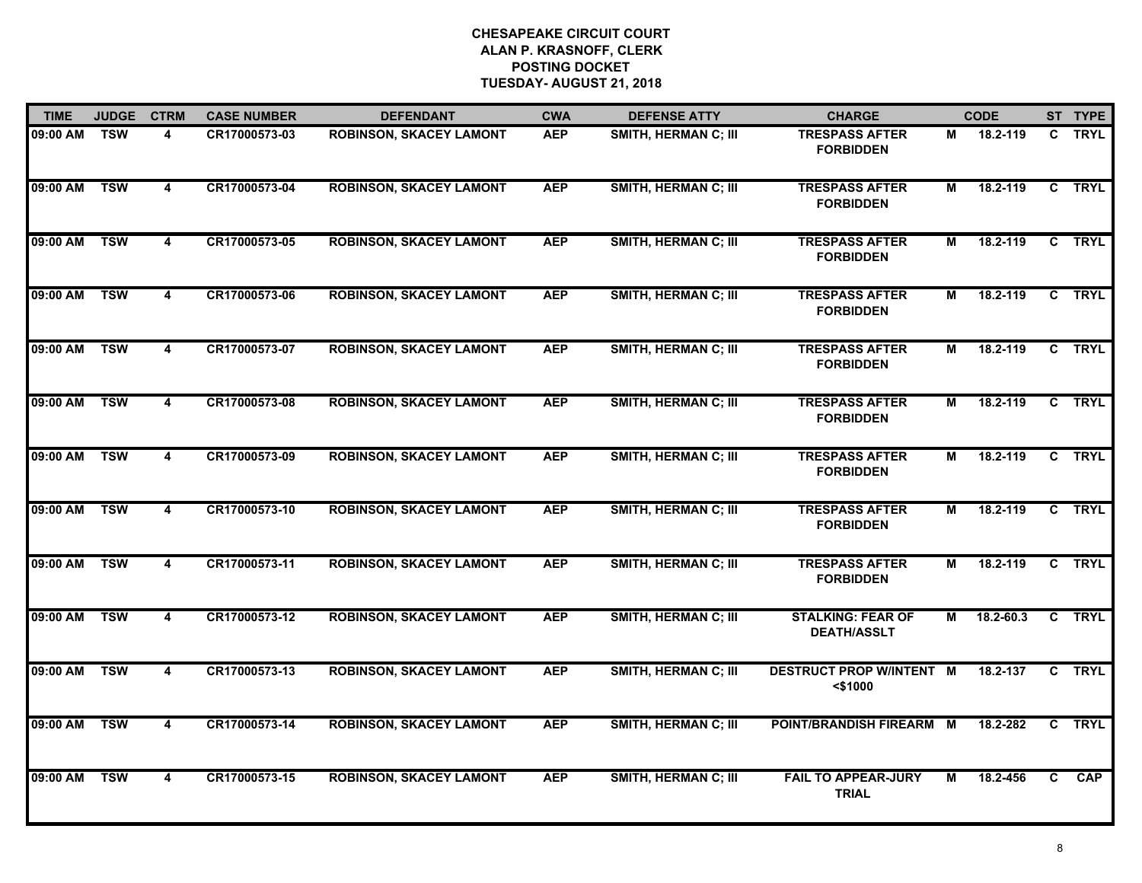| <b>TIME</b>  | <b>JUDGE</b> | <b>CTRM</b>             | <b>CASE NUMBER</b> | <b>DEFENDANT</b>               | <b>CWA</b> | <b>DEFENSE ATTY</b>         | <b>CHARGE</b>                                  |   | <b>CODE</b>   |                | ST TYPE     |
|--------------|--------------|-------------------------|--------------------|--------------------------------|------------|-----------------------------|------------------------------------------------|---|---------------|----------------|-------------|
| 09:00 AM     | <b>TSW</b>   | 4                       | CR17000573-03      | <b>ROBINSON, SKACEY LAMONT</b> | <b>AEP</b> | <b>SMITH, HERMAN C; III</b> | <b>TRESPASS AFTER</b><br><b>FORBIDDEN</b>      | М | 18.2-119      | C.             | <b>TRYL</b> |
| 09:00 AM     | <b>TSW</b>   | 4                       | CR17000573-04      | <b>ROBINSON, SKACEY LAMONT</b> | <b>AEP</b> | <b>SMITH, HERMAN C; III</b> | <b>TRESPASS AFTER</b><br><b>FORBIDDEN</b>      | М | 18.2-119      | C              | <b>TRYL</b> |
| 09:00 AM     | <b>TSW</b>   | $\overline{\mathbf{4}}$ | CR17000573-05      | <b>ROBINSON, SKACEY LAMONT</b> | <b>AEP</b> | <b>SMITH, HERMAN C; III</b> | <b>TRESPASS AFTER</b><br><b>FORBIDDEN</b>      | М | 18.2-119      |                | C TRYL      |
| 09:00 AM     | <b>TSW</b>   | 4                       | CR17000573-06      | <b>ROBINSON, SKACEY LAMONT</b> | <b>AEP</b> | <b>SMITH, HERMAN C; III</b> | <b>TRESPASS AFTER</b><br><b>FORBIDDEN</b>      | М | 18.2-119      |                | C TRYL      |
| 09:00 AM     | <b>TSW</b>   | $\overline{\mathbf{4}}$ | CR17000573-07      | <b>ROBINSON, SKACEY LAMONT</b> | <b>AEP</b> | <b>SMITH, HERMAN C; III</b> | <b>TRESPASS AFTER</b><br><b>FORBIDDEN</b>      | М | 18.2-119      |                | C TRYL      |
| 09:00 AM TSW |              | $\overline{\mathbf{4}}$ | CR17000573-08      | <b>ROBINSON, SKACEY LAMONT</b> | <b>AEP</b> | SMITH, HERMAN C; III        | <b>TRESPASS AFTER</b><br><b>FORBIDDEN</b>      | М | 18.2-119      |                | C TRYL      |
| 09:00 AM     | <b>TSW</b>   | $\overline{\mathbf{4}}$ | CR17000573-09      | <b>ROBINSON, SKACEY LAMONT</b> | <b>AEP</b> | <b>SMITH, HERMAN C; III</b> | <b>TRESPASS AFTER</b><br><b>FORBIDDEN</b>      | М | 18.2-119      | C              | <b>TRYL</b> |
| 09:00 AM     | <b>TSW</b>   | $\overline{4}$          | CR17000573-10      | <b>ROBINSON, SKACEY LAMONT</b> | <b>AEP</b> | <b>SMITH, HERMAN C; III</b> | <b>TRESPASS AFTER</b><br><b>FORBIDDEN</b>      | М | 18.2-119      |                | C TRYL      |
| 09:00 AM     | <b>TSW</b>   | 4                       | CR17000573-11      | <b>ROBINSON, SKACEY LAMONT</b> | <b>AEP</b> | <b>SMITH, HERMAN C; III</b> | <b>TRESPASS AFTER</b><br><b>FORBIDDEN</b>      | М | 18.2-119      |                | C TRYL      |
| 09:00 AM     | <b>TSW</b>   | $\overline{\mathbf{4}}$ | CR17000573-12      | <b>ROBINSON, SKACEY LAMONT</b> | <b>AEP</b> | <b>SMITH, HERMAN C; III</b> | <b>STALKING: FEAR OF</b><br><b>DEATH/ASSLT</b> | М | $18.2 - 60.3$ |                | C TRYL      |
| 09:00 AM TSW |              | 4                       | CR17000573-13      | <b>ROBINSON, SKACEY LAMONT</b> | <b>AEP</b> | <b>SMITH, HERMAN C; III</b> | <b>DESTRUCT PROP W/INTENT M</b><br>$<$ \$1000  |   | 18.2-137      |                | C TRYL      |
| 09:00 AM     | <b>TSW</b>   | 4                       | CR17000573-14      | <b>ROBINSON, SKACEY LAMONT</b> | <b>AEP</b> | <b>SMITH, HERMAN C; III</b> | POINT/BRANDISH FIREARM M                       |   | 18.2-282      | C              | <b>TRYL</b> |
| 09:00 AM     | <b>TSW</b>   | $\overline{\mathbf{4}}$ | CR17000573-15      | <b>ROBINSON, SKACEY LAMONT</b> | <b>AEP</b> | <b>SMITH, HERMAN C; III</b> | <b>FAIL TO APPEAR-JURY</b><br><b>TRIAL</b>     | М | 18.2-456      | $\overline{c}$ | <b>CAP</b>  |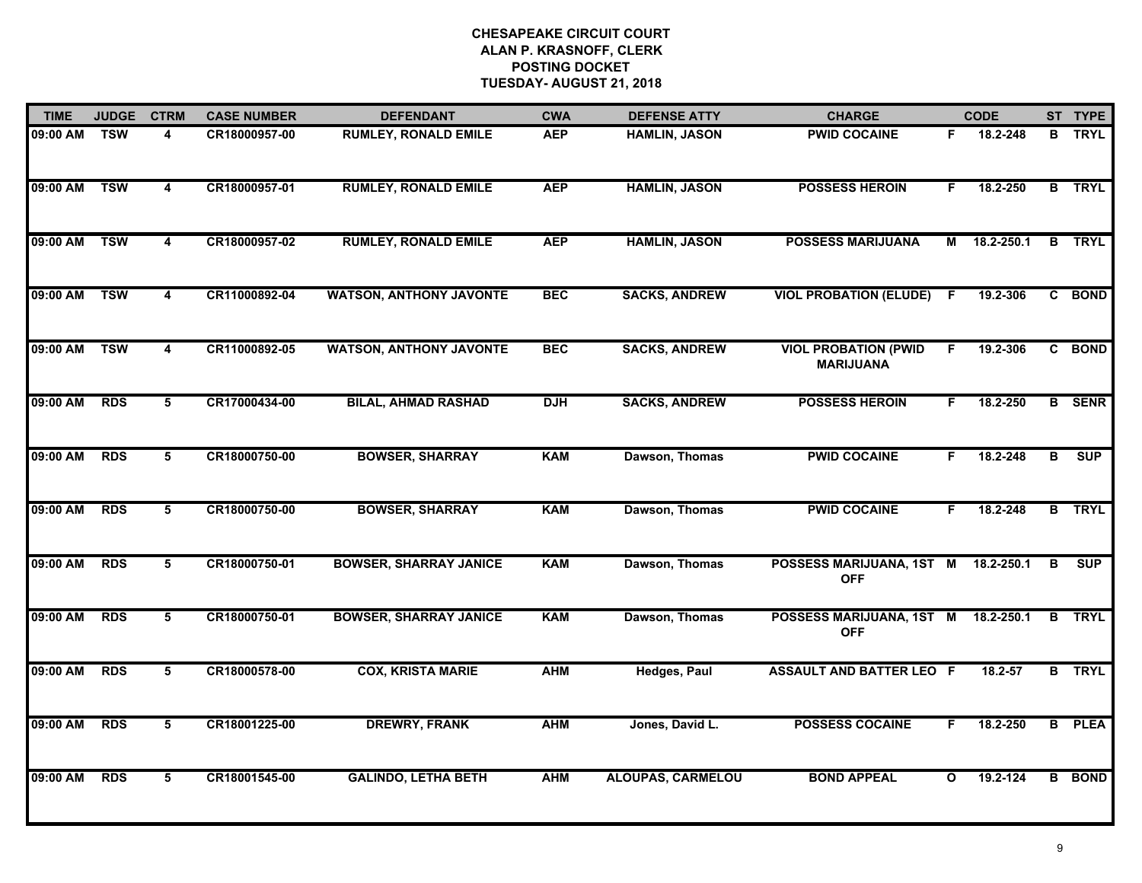| <b>TIME</b> | <b>JUDGE</b> | <b>CTRM</b>             | <b>CASE NUMBER</b> | <b>DEFENDANT</b>               | <b>CWA</b> | <b>DEFENSE ATTY</b>      | <b>CHARGE</b>                                   |              | <b>CODE</b> |                | ST TYPE       |
|-------------|--------------|-------------------------|--------------------|--------------------------------|------------|--------------------------|-------------------------------------------------|--------------|-------------|----------------|---------------|
| 09:00 AM    | <b>TSW</b>   | 4                       | CR18000957-00      | <b>RUMLEY, RONALD EMILE</b>    | <b>AEP</b> | <b>HAMLIN, JASON</b>     | <b>PWID COCAINE</b>                             | F            | 18.2-248    |                | <b>B</b> TRYL |
| 09:00 AM    | <b>TSW</b>   | $\overline{\mathbf{4}}$ | CR18000957-01      | <b>RUMLEY, RONALD EMILE</b>    | <b>AEP</b> | <b>HAMLIN, JASON</b>     | <b>POSSESS HEROIN</b>                           | F.           | 18.2-250    |                | <b>B</b> TRYL |
| 09:00 AM    | <b>TSW</b>   | $\overline{4}$          | CR18000957-02      | <b>RUMLEY, RONALD EMILE</b>    | <b>AEP</b> | <b>HAMLIN, JASON</b>     | <b>POSSESS MARIJUANA</b>                        | М            | 18.2-250.1  | $\overline{B}$ | <b>TRYL</b>   |
| 09:00 AM    | <b>TSW</b>   | 4                       | CR11000892-04      | <b>WATSON, ANTHONY JAVONTE</b> | <b>BEC</b> | <b>SACKS, ANDREW</b>     | <b>VIOL PROBATION (ELUDE)</b>                   | F.           | 19.2-306    |                | C BOND        |
| 09:00 AM    | <b>TSW</b>   | 4                       | CR11000892-05      | <b>WATSON, ANTHONY JAVONTE</b> | <b>BEC</b> | <b>SACKS, ANDREW</b>     | <b>VIOL PROBATION (PWID</b><br><b>MARIJUANA</b> | F.           | 19.2-306    |                | C BOND        |
| 09:00 AM    | <b>RDS</b>   | 5                       | CR17000434-00      | <b>BILAL, AHMAD RASHAD</b>     | <b>DJH</b> | <b>SACKS, ANDREW</b>     | <b>POSSESS HEROIN</b>                           | F            | 18.2-250    |                | <b>B</b> SENR |
| 09:00 AM    | <b>RDS</b>   | $\overline{5}$          | CR18000750-00      | <b>BOWSER, SHARRAY</b>         | <b>KAM</b> | Dawson, Thomas           | <b>PWID COCAINE</b>                             | F.           | 18.2-248    | B              | <b>SUP</b>    |
| 09:00 AM    | <b>RDS</b>   | $\overline{5}$          | CR18000750-00      | <b>BOWSER, SHARRAY</b>         | <b>KAM</b> | Dawson, Thomas           | <b>PWID COCAINE</b>                             | F            | 18.2-248    |                | <b>B</b> TRYL |
| 09:00 AM    | <b>RDS</b>   | 5                       | CR18000750-01      | <b>BOWSER, SHARRAY JANICE</b>  | <b>KAM</b> | Dawson, Thomas           | POSSESS MARIJUANA, 1ST M<br><b>OFF</b>          |              | 18.2-250.1  | в              | <b>SUP</b>    |
| 09:00 AM    | <b>RDS</b>   | 5                       | CR18000750-01      | <b>BOWSER, SHARRAY JANICE</b>  | <b>KAM</b> | Dawson, Thomas           | POSSESS MARIJUANA, 1ST M<br><b>OFF</b>          |              | 18.2-250.1  | B              | <b>TRYL</b>   |
| 09:00 AM    | <b>RDS</b>   | 5                       | CR18000578-00      | <b>COX, KRISTA MARIE</b>       | <b>AHM</b> | <b>Hedges, Paul</b>      | <b>ASSAULT AND BATTER LEO F</b>                 |              | $18.2 - 57$ |                | <b>B</b> TRYL |
| 09:00 AM    | <b>RDS</b>   | $\overline{\mathbf{5}}$ | CR18001225-00      | <b>DREWRY, FRANK</b>           | <b>AHM</b> | Jones, David L.          | <b>POSSESS COCAINE</b>                          | F.           | 18.2-250    | B              | <b>PLEA</b>   |
| 09:00 AM    | <b>RDS</b>   | $5\overline{)}$         | CR18001545-00      | <b>GALINDO, LETHA BETH</b>     | <b>AHM</b> | <b>ALOUPAS, CARMELOU</b> | <b>BOND APPEAL</b>                              | $\mathbf{o}$ | 19.2-124    |                | <b>B</b> BOND |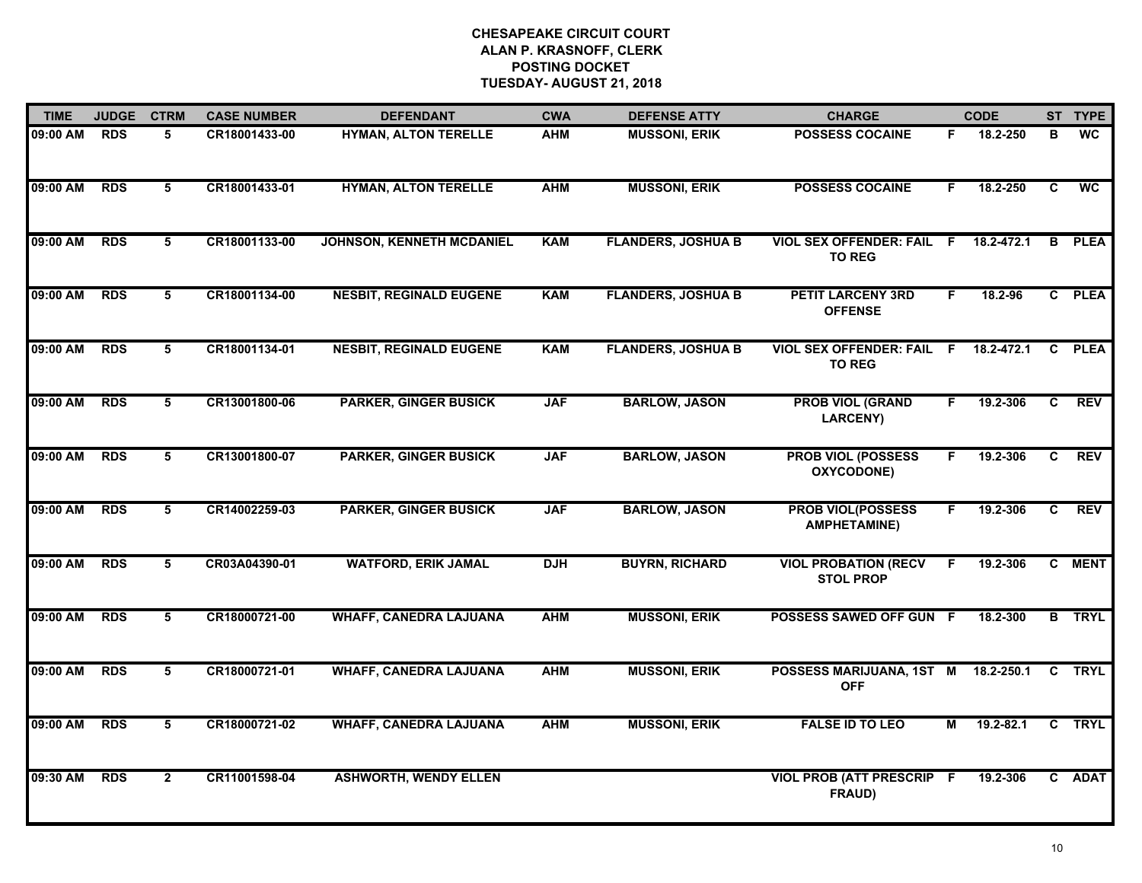| <b>TIME</b> | <b>JUDGE</b> | <b>CTRM</b>     | <b>CASE NUMBER</b> | <b>DEFENDANT</b>                 | <b>CWA</b> | <b>DEFENSE ATTY</b>       | <b>CHARGE</b>                                     |                | <b>CODE</b> |                | ST TYPE         |
|-------------|--------------|-----------------|--------------------|----------------------------------|------------|---------------------------|---------------------------------------------------|----------------|-------------|----------------|-----------------|
| 09:00 AM    | <b>RDS</b>   | 5               | CR18001433-00      | <b>HYMAN, ALTON TERELLE</b>      | <b>AHM</b> | <b>MUSSONI, ERIK</b>      | <b>POSSESS COCAINE</b>                            | F.             | 18.2-250    | в              | <b>WC</b>       |
| 09:00 AM    | <b>RDS</b>   | 5               | CR18001433-01      | <b>HYMAN, ALTON TERELLE</b>      | <b>AHM</b> | <b>MUSSONI, ERIK</b>      | <b>POSSESS COCAINE</b>                            | F.             | 18.2-250    | C              | $\overline{wc}$ |
| 09:00 AM    | <b>RDS</b>   | $5\overline{)}$ | CR18001133-00      | <b>JOHNSON, KENNETH MCDANIEL</b> | <b>KAM</b> | <b>FLANDERS, JOSHUA B</b> | <b>VIOL SEX OFFENDER: FAIL F</b><br><b>TO REG</b> |                | 18.2-472.1  |                | <b>B</b> PLEA   |
| 09:00 AM    | <b>RDS</b>   | 5               | CR18001134-00      | <b>NESBIT, REGINALD EUGENE</b>   | <b>KAM</b> | <b>FLANDERS, JOSHUA B</b> | <b>PETIT LARCENY 3RD</b><br><b>OFFENSE</b>        | F.             | 18.2-96     |                | C PLEA          |
| 09:00 AM    | <b>RDS</b>   | 5               | CR18001134-01      | <b>NESBIT, REGINALD EUGENE</b>   | <b>KAM</b> | <b>FLANDERS, JOSHUA B</b> | <b>VIOL SEX OFFENDER: FAIL</b><br><b>TO REG</b>   | F              | 18.2-472.1  |                | C PLEA          |
| 09:00 AM    | <b>RDS</b>   | 5               | CR13001800-06      | <b>PARKER, GINGER BUSICK</b>     | <b>JAF</b> | <b>BARLOW, JASON</b>      | <b>PROB VIOL (GRAND</b><br>LARCENY)               | F.             | 19.2-306    | C              | <b>REV</b>      |
| 09:00 AM    | <b>RDS</b>   | $\overline{5}$  | CR13001800-07      | <b>PARKER, GINGER BUSICK</b>     | <b>JAF</b> | <b>BARLOW, JASON</b>      | <b>PROB VIOL (POSSESS</b><br>OXYCODONE)           | $\overline{F}$ | 19.2-306    | $\overline{c}$ | <b>REV</b>      |
| 09:00 AM    | <b>RDS</b>   | 5               | CR14002259-03      | <b>PARKER, GINGER BUSICK</b>     | <b>JAF</b> | <b>BARLOW, JASON</b>      | <b>PROB VIOL(POSSESS</b><br><b>AMPHETAMINE)</b>   | F.             | 19.2-306    | C.             | <b>REV</b>      |
| 09:00 AM    | <b>RDS</b>   | 5               | CR03A04390-01      | <b>WATFORD, ERIK JAMAL</b>       | <b>DJH</b> | <b>BUYRN, RICHARD</b>     | <b>VIOL PROBATION (RECV</b><br><b>STOL PROP</b>   | F.             | 19.2-306    |                | C MENT          |
| 09:00 AM    | <b>RDS</b>   | 5               | CR18000721-00      | <b>WHAFF, CANEDRA LAJUANA</b>    | <b>AHM</b> | <b>MUSSONI, ERIK</b>      | POSSESS SAWED OFF GUN F                           |                | 18.2-300    |                | <b>B</b> TRYL   |
| 09:00 AM    | <b>RDS</b>   | 5               | CR18000721-01      | <b>WHAFF, CANEDRA LAJUANA</b>    | <b>AHM</b> | <b>MUSSONI, ERIK</b>      | POSSESS MARIJUANA, 1ST M<br><b>OFF</b>            |                | 18.2-250.1  | C              | <b>TRYL</b>     |
| 09:00 AM    | <b>RDS</b>   | $\overline{5}$  | CR18000721-02      | <b>WHAFF, CANEDRA LAJUANA</b>    | <b>AHM</b> | <b>MUSSONI, ERIK</b>      | <b>FALSE ID TO LEO</b>                            | $\overline{M}$ | 19.2-82.1   | $\overline{c}$ | <b>TRYL</b>     |
| 09:30 AM    | <b>RDS</b>   | $\mathbf{2}$    | CR11001598-04      | <b>ASHWORTH, WENDY ELLEN</b>     |            |                           | <b>VIOL PROB (ATT PRESCRIP F</b><br>FRAUD)        |                | 19.2-306    |                | C ADAT          |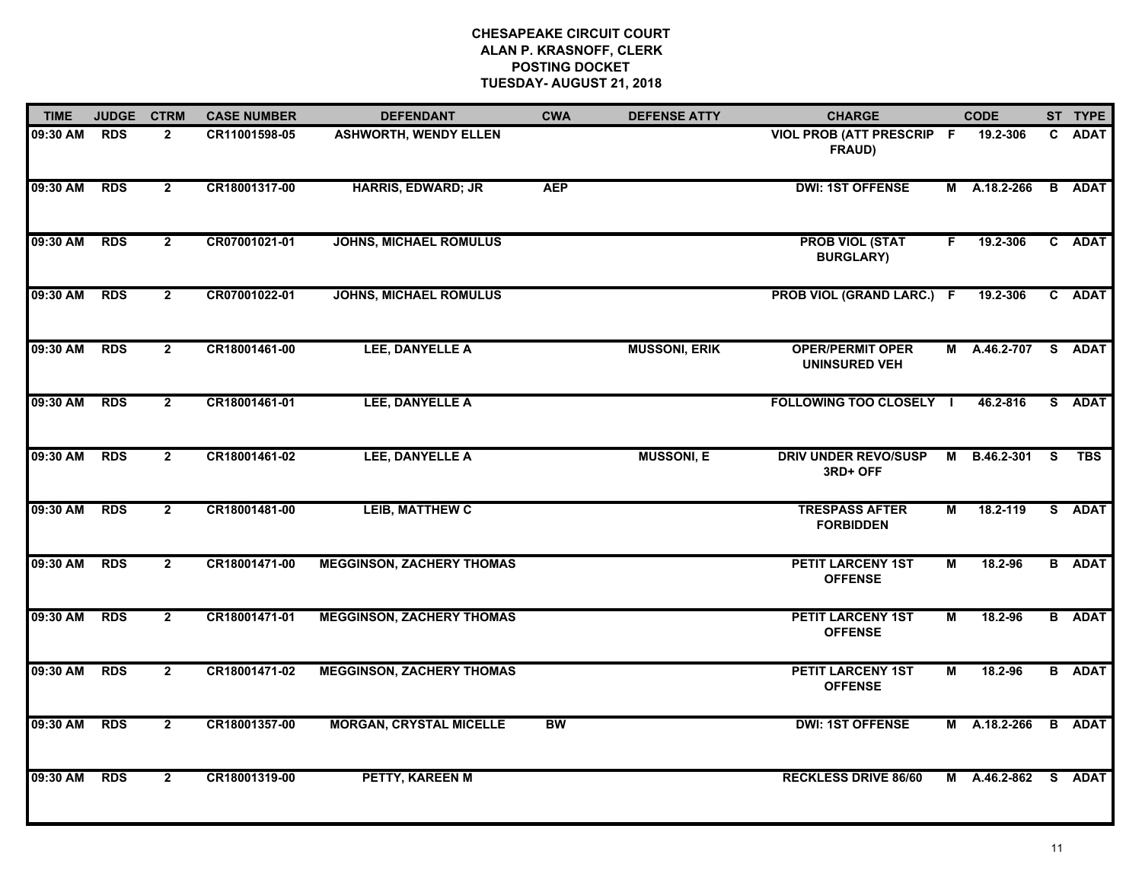| <b>TIME</b> | <b>JUDGE</b> | <b>CTRM</b>    | <b>CASE NUMBER</b> | <b>DEFENDANT</b>                 | <b>CWA</b> | <b>DEFENSE ATTY</b>  | <b>CHARGE</b>                                   |                | <b>CODE</b>  |    | ST TYPE       |
|-------------|--------------|----------------|--------------------|----------------------------------|------------|----------------------|-------------------------------------------------|----------------|--------------|----|---------------|
| 09:30 AM    | <b>RDS</b>   | $\mathbf{2}$   | CR11001598-05      | <b>ASHWORTH, WENDY ELLEN</b>     |            |                      | <b>VIOL PROB (ATT PRESCRIP F</b><br>FRAUD)      |                | 19.2-306     |    | C ADAT        |
| 09:30 AM    | <b>RDS</b>   | $\overline{2}$ | CR18001317-00      | <b>HARRIS, EDWARD; JR</b>        | <b>AEP</b> |                      | <b>DWI: 1ST OFFENSE</b>                         |                | M A.18.2-266 |    | <b>B</b> ADAT |
| 09:30 AM    | <b>RDS</b>   | $\overline{2}$ | CR07001021-01      | <b>JOHNS, MICHAEL ROMULUS</b>    |            |                      | <b>PROB VIOL (STAT</b><br><b>BURGLARY)</b>      | F.             | 19.2-306     |    | C ADAT        |
| 09:30 AM    | <b>RDS</b>   | $\overline{2}$ | CR07001022-01      | <b>JOHNS, MICHAEL ROMULUS</b>    |            |                      | <b>PROB VIOL (GRAND LARC.) F</b>                |                | 19.2-306     |    | C ADAT        |
| 09:30 AM    | <b>RDS</b>   | $\overline{2}$ | CR18001461-00      | LEE, DANYELLE A                  |            | <b>MUSSONI, ERIK</b> | <b>OPER/PERMIT OPER</b><br><b>UNINSURED VEH</b> | M              | A.46.2-707   |    | S ADAT        |
| 09:30 AM    | <b>RDS</b>   | $\overline{2}$ | CR18001461-01      | LEE, DANYELLE A                  |            |                      | <b>FOLLOWING TOO CLOSELY I</b>                  |                | 46.2-816     | S. | <b>ADAT</b>   |
| 09:30 AM    | <b>RDS</b>   | $\overline{2}$ | CR18001461-02      | LEE, DANYELLE A                  |            | <b>MUSSONI, E</b>    | <b>DRIV UNDER REVO/SUSP</b><br>3RD+ OFF         | $\overline{M}$ | B.46.2-301   | s  | <b>TBS</b>    |
| 09:30 AM    | <b>RDS</b>   | $\mathbf{2}$   | CR18001481-00      | <b>LEIB, MATTHEW C</b>           |            |                      | <b>TRESPASS AFTER</b><br><b>FORBIDDEN</b>       | М              | 18.2-119     |    | S ADAT        |
| 09:30 AM    | <b>RDS</b>   | $\overline{2}$ | CR18001471-00      | <b>MEGGINSON, ZACHERY THOMAS</b> |            |                      | <b>PETIT LARCENY 1ST</b><br><b>OFFENSE</b>      | M              | 18.2-96      |    | <b>B</b> ADAT |
| 09:30 AM    | <b>RDS</b>   | $\overline{2}$ | CR18001471-01      | <b>MEGGINSON, ZACHERY THOMAS</b> |            |                      | <b>PETIT LARCENY 1ST</b><br><b>OFFENSE</b>      | M              | 18.2-96      |    | <b>B</b> ADAT |
| 09:30 AM    | <b>RDS</b>   | $\overline{2}$ | CR18001471-02      | <b>MEGGINSON, ZACHERY THOMAS</b> |            |                      | <b>PETIT LARCENY 1ST</b><br><b>OFFENSE</b>      | М              | 18.2-96      |    | <b>B</b> ADAT |
| 09:30 AM    | <b>RDS</b>   | $\overline{2}$ | CR18001357-00      | <b>MORGAN, CRYSTAL MICELLE</b>   | <b>BW</b>  |                      | <b>DWI: 1ST OFFENSE</b>                         | M              | A.18.2-266   |    | <b>B</b> ADAT |
| 09:30 AM    | <b>RDS</b>   | $\overline{2}$ | CR18001319-00      | <b>PETTY, KAREEN M</b>           |            |                      | <b>RECKLESS DRIVE 86/60</b>                     | М              | A.46.2-862   |    | S ADAT        |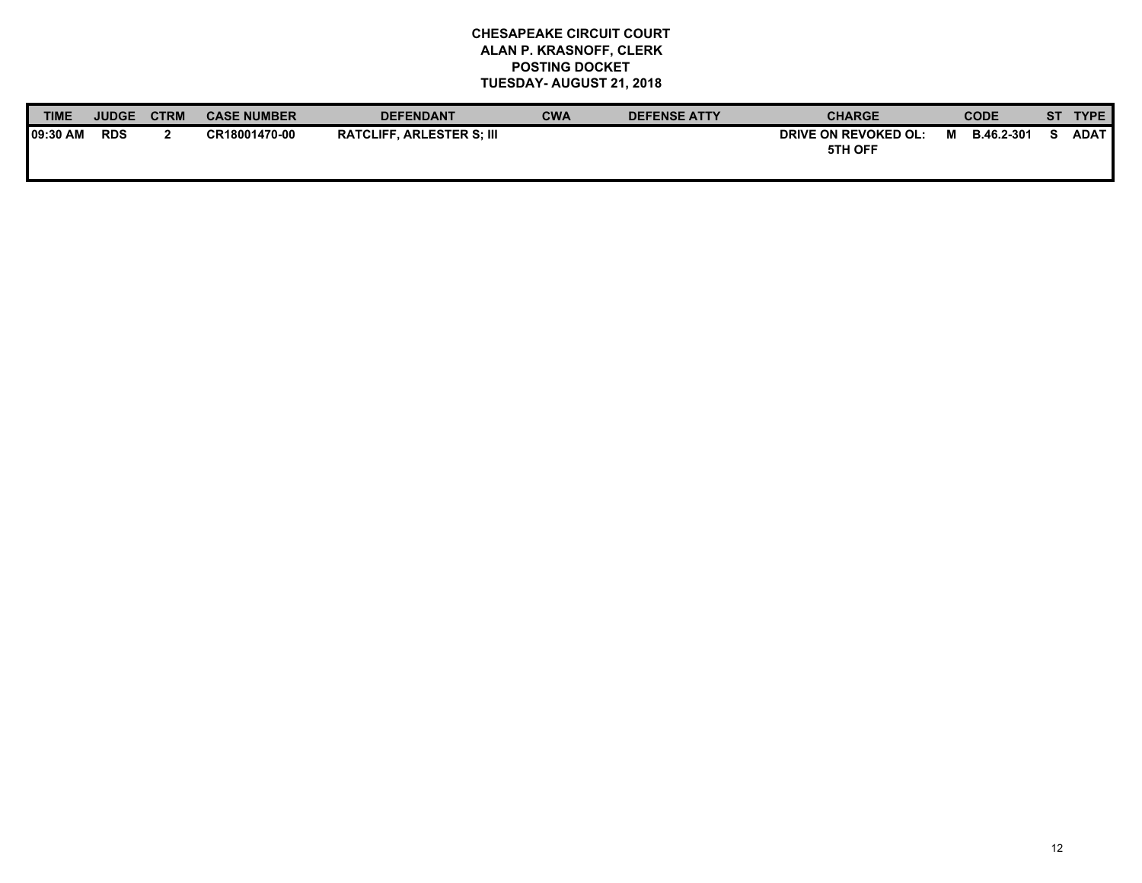| <b>TIME</b> | <b>JUDGE</b> | <b>CTRM</b> | <b>CASE NUMBER</b> | <b>DEFENDANT</b>                 | CWA | <b>DEFENSE ATTY</b> | <b>CHARGE</b>                   |   | <b>CODE</b> | SТ | <b>TYPE</b> |
|-------------|--------------|-------------|--------------------|----------------------------------|-----|---------------------|---------------------------------|---|-------------|----|-------------|
| 109:30 AM   | <b>RDS</b>   |             | CR18001470-00      | <b>RATCLIFF. ARLESTER S: III</b> |     |                     | DRIVE ON REVOKED OL:<br>5TH OFF | м | B.46.2-301  |    | ADAT        |